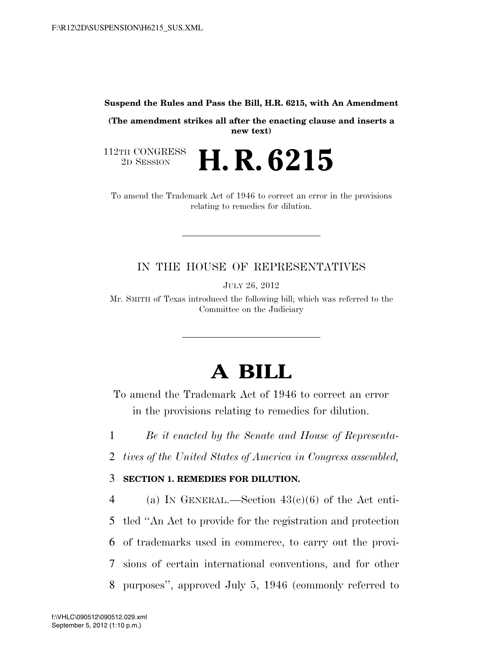**Suspend the Rules and Pass the Bill, H.R. 6215, with An Amendment** 

**(The amendment strikes all after the enacting clause and inserts a new text)** 

112TH CONGRESS<br>2D SESSION

2D SESSION **H. R. 6215** 

To amend the Trademark Act of 1946 to correct an error in the provisions relating to remedies for dilution.

## IN THE HOUSE OF REPRESENTATIVES

JULY 26, 2012

Mr. SMITH of Texas introduced the following bill; which was referred to the Committee on the Judiciary

## **A BILL**

To amend the Trademark Act of 1946 to correct an error in the provisions relating to remedies for dilution.

1 *Be it enacted by the Senate and House of Representa-*

2 *tives of the United States of America in Congress assembled,* 

## 3 **SECTION 1. REMEDIES FOR DILUTION.**

4 (a) IN GENERAL.—Section  $43(e)(6)$  of the Act enti- tled ''An Act to provide for the registration and protection of trademarks used in commerce, to carry out the provi- sions of certain international conventions, and for other purposes'', approved July 5, 1946 (commonly referred to